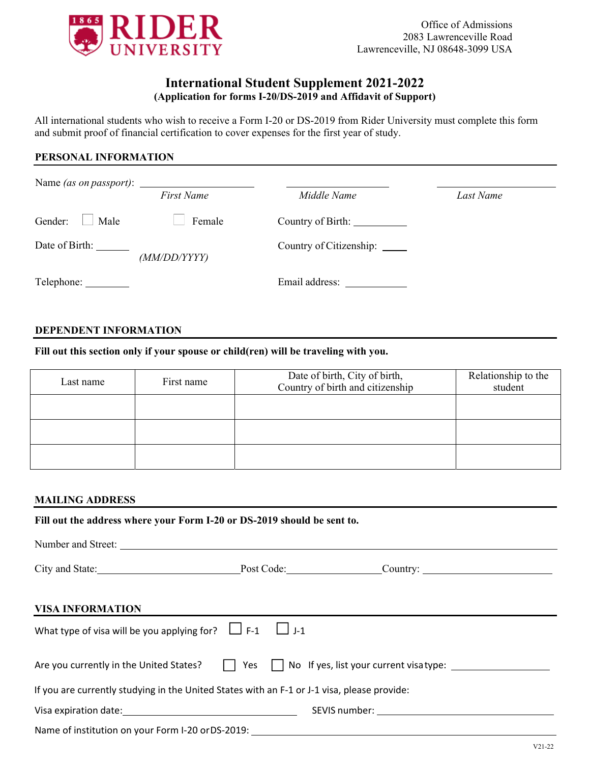

# **International Student Supplement 2021-2022 (Application for forms I-20/DS-2019 and Affidavit of Support)**

All international students who wish to receive a Form I-20 or DS-2019 from Rider University must complete this form and submit proof of financial certification to cover expenses for the first year of study.

### **PERSONAL INFORMATION**

| Name (as on passport): |                   |                               |           |
|------------------------|-------------------|-------------------------------|-----------|
|                        | <b>First Name</b> | Middle Name                   | Last Name |
| Gender:<br>Male        | Female            | Country of Birth: ___________ |           |
| Date of Birth:         | (MM/DD/YYYY)      | Country of Citizenship: _____ |           |
| Telephone: __________  |                   | Email address:                |           |

#### **DEPENDENT INFORMATION**

**Fill out this section only if your spouse or child(ren) will be traveling with you.** 

| Last name | First name | Date of birth, City of birth,<br>Country of birth and citizenship | Relationship to the<br>student |
|-----------|------------|-------------------------------------------------------------------|--------------------------------|
|           |            |                                                                   |                                |
|           |            |                                                                   |                                |
|           |            |                                                                   |                                |

#### **MAILING ADDRESS**

**Fill out the address where your Form I-20 or DS-2019 should be sent to.** 

Number and Street: City and State: Post Code: Post Code: Country: **VISA INFORMATION**  What type of visa will be you applying for?  $\Box F-1$   $\Box J-1$ Are you currently in the United States?  $\Box$  Yes  $\Box$  No If yes, list your current visatype:  $\Box$ If you are currently studying in the United States with an F‐1 or J‐1 visa, please provide: Visa expiration date: SEVIS number: Name of institution on your Form I-20 or DS-2019: <u>contained and the container of the container</u>